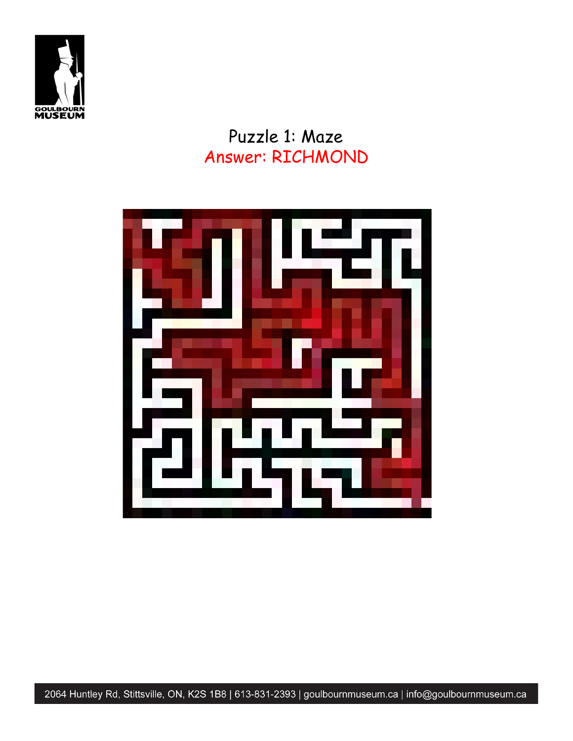

#### Puzzle 1: Maze Answer: RICHMOND



2064 Huntley Rd, Stittsville, ON, K2S 1B8 | 613-831-2393 | goulbournmuseum.ca | info@goulbournmuseum.ca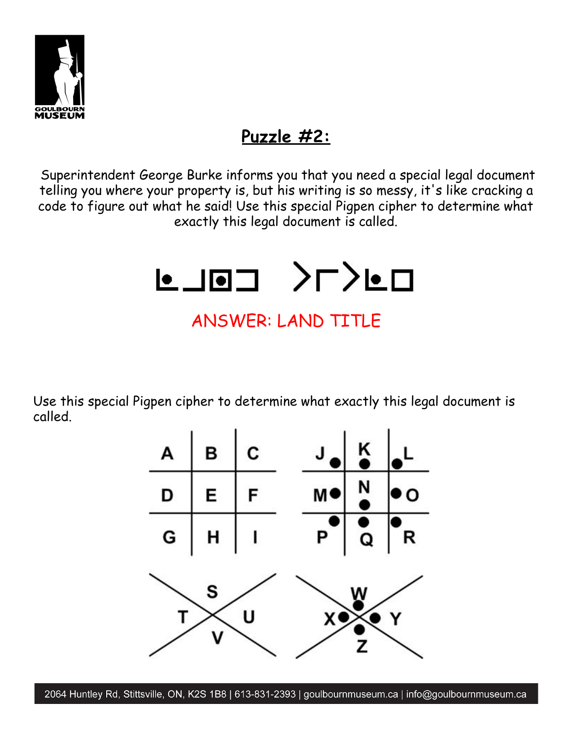

## **Puzzle #2:**

Superintendent George Burke informs you that you need a special legal document telling you where your property is, but his writing is so messy, it's like cracking a code to figure out what he said! Use this special Pigpen cipher to determine what exactly this legal document is called.



## ANSWER: LAND TITLE

Use this special Pigpen cipher to determine what exactly this legal document is called.



2064 Huntley Rd, Stittsville, ON, K2S 1B8 | 613-831-2393 | goulbournmuseum.ca | info@goulbournmuseum.ca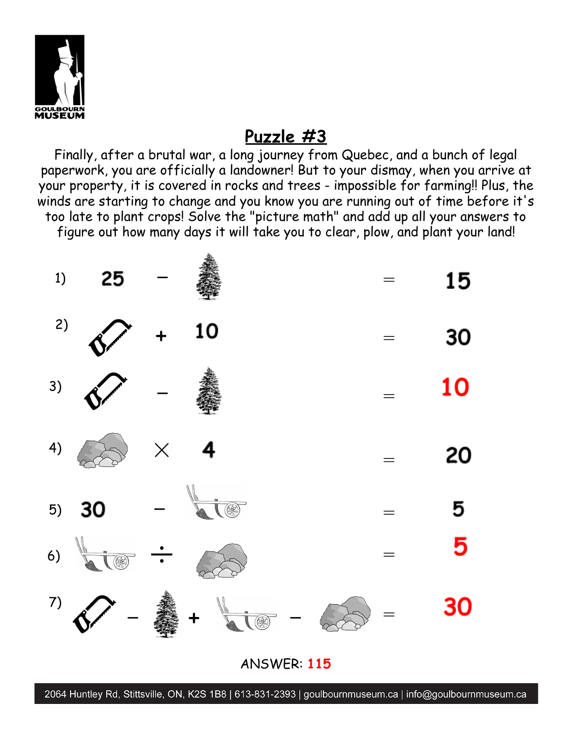

## **Puzzle #3**

Finally, after a brutal war, a long journey from Quebec, and a bunch of legal paperwork, you are officially a landowner! But to your dismay, when you arrive at your property, it is covered in rocks and trees - impossible for farming!! Plus, the winds are starting to change and you know you are running out of time before it's too late to plant crops! Solve the "picture math" and add up all your answers to figure out how many days it will take you to clear, plow, and plant your land!



ANSWER: **115**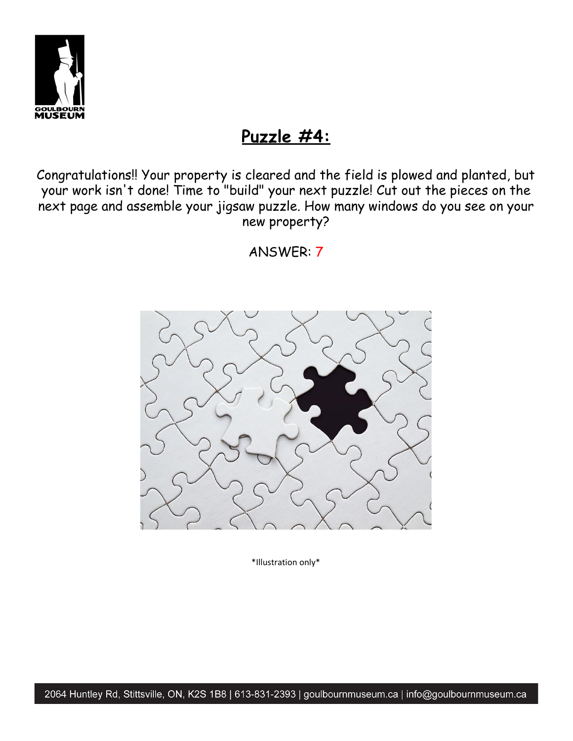

#### **Puzzle #4:**

Congratulations!! Your property is cleared and the field is plowed and planted, but your work isn't done! Time to "build" your next puzzle! Cut out the pieces on the next page and assemble your jigsaw puzzle. How many windows do you see on your new property?

ANSWER: 7



\*Illustration only\*